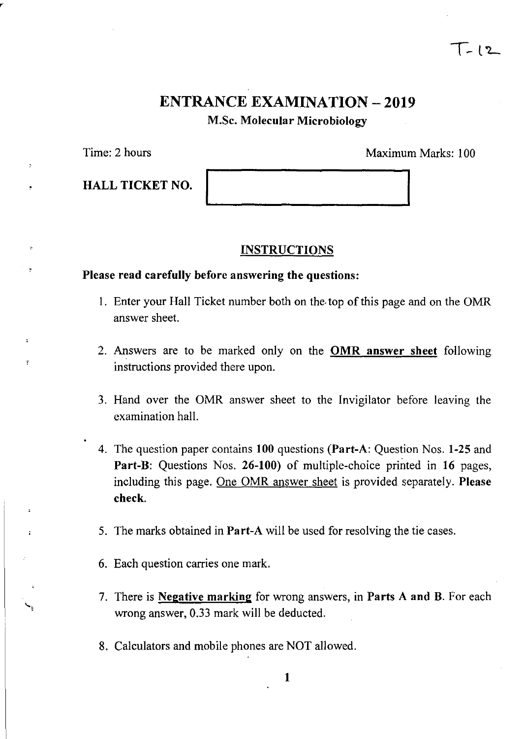## **ENTRANCE EXAMINATION - 2019** M.Sc. Molecular Microbiology

Time: 2 hours Maximum Marks: 100

 $T-12$ 

HALL TICKET NO.

### **INSTRUCTIONS**

### Please read carefully before answering the questions:

- I. Enter your Hall Ticket number both on the. top of this page and on the OMR answer sheet.
- 2. Answers are to be marked only on the OMR answer sheet following instructions provided there upon.
- 3. Hand over the OMR answer sheet to the Invigilator before leaving the examination hall.
- 4. The question paper contains 100 questions (Part-A: Question Nos. 1-25 and Part-B: Questions Nos. 26-100) of multiple-choice printed in 16 pages, including this page. One OMR answer sheet is provided separately. Please check.
- 5. The marks obtained in Part-A will be used for resolving the tie cases.
- 6. Each question carries one mark.
- 7. There is **Negative marking** for wrong answers, in **Parts A and B**. For each wrong answer, 0.33 mark will be deducted.
- 8. Calculators and mobile phones are NOT allowed.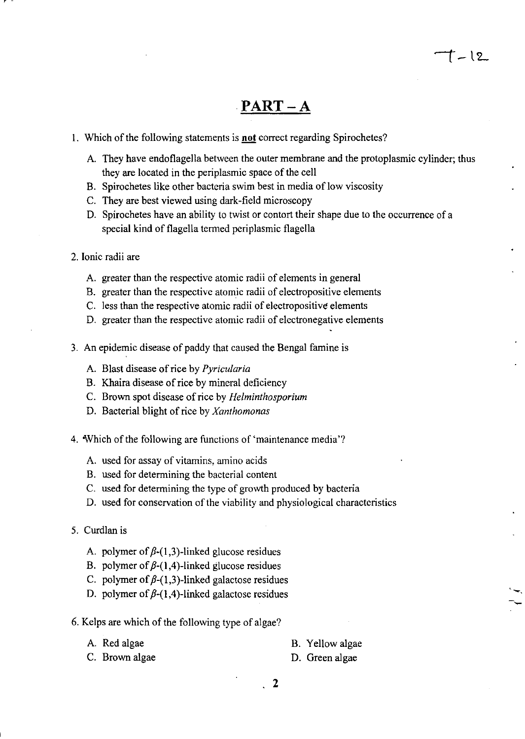## **PART-A**

- 1. Which of the following statements is **not** correct regarding Spirochetes?
	- A. They have endoflagella between the outer membrane and the protoplasmic cylinder; thus they are located in the periplasmic space of the cell
	- B. Spirochetes like other bacteria swim best in media of low viscosity
	- C. They are best viewed using dark-field microscopy
	- D. Spirochetes have an ability to twist or contort their shape due to the occurrence of a special kind of flagella termed periplasmic flagella
- 2. Ionic radii are

, -

- A. greater than the respective atomic radii of elements in general
- B. greater than the respective atomic radii of electropositive elements
- C. less than the respective atomic radii of electropositive elements
- D. greater than the respective atomic radii of electronegative elements
- 3. An epidemic disease of paddy that caused the Bengal famine is
	- A. Blast disease of rice by *Pyricularia*
	- B. Khaira disease of rice by mineral deficiency
	- C. Brown spot disease of rice by *Helminthosporium*
	- D. Bacterial blight of rice by *Xanthomonas*
- 4. Which of the following are functions of 'maintenance media'?
	- A. used for assay of vitamins, amino acids
	- B. used for determining the bacterial content
	- C. used for determining the type of growth produced by bacteria
	- D. used for conservation of the viability and physiological characteristics
- 5. Curdlan is
	- A. polymer of  $\beta$ -(1,3)-linked glucose residues
	- B. polymer of  $\beta$ -(1,4)-linked glucose residues
	- C. polymer of  $\beta$ -(1,3)-linked galactose residues
	- D. polymer of  $\beta$ -(1,4)-linked galactose residues
- 6. Kelps are which of the following type of algae?
	- A. Red algae
	- C. Brown algae

B. Yellow algae

--

t - 12

D. Green algae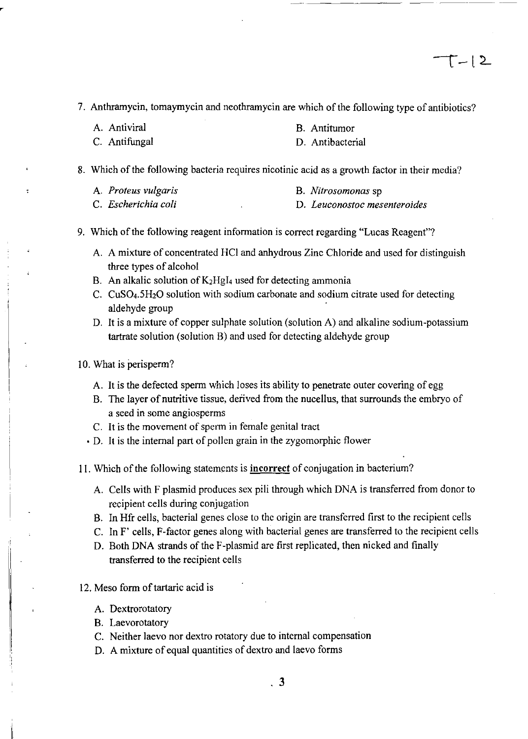7. Anthramycin, tomaymycin and neothramycin are which of the following type of antibiotics?

B. Antitumor

| A. Antiviral | D. |
|--------------|----|
|              |    |

C. Antifungal D. Antibacterial

8. Which of the following bacteria requires nicotinic acid as a growth factor in their media?

| A. Proteus vulgaris |  | B. Nitrosomonas sp |
|---------------------|--|--------------------|
|                     |  |                    |

- C. *Escherichia coli*  D. *Leuconostoc mesenteroides*
- 9. Which of the following reagent information is correct regarding "Lucas Reagent"?
	- A. A mixture of concentrated HCI and anhydrous Zinc Chloride and used for distinguish three types of alcohol
	- B. An alkalic solution of  $K_2Hgl_4$  used for detecting ammonia
	- C. CuS04.5HzO solution with sodium carbonate and sodium citrate used for detecting aldehyde group
	- D. It is a mixture of copper sulphate solution (solution A) and alkaline sodium-potassium tartrate solution (solution B) and used for detecting aldehyde group

#### 10. What is perisperm?

- A. It is the defected sperm which loses its ability to penetrate outer covering of egg
- B. The layer of nutritive tissue, derived from the nucellus, that surrounds the embryo of a seed in some angiosperms
- C. It is the movement of sperm in female genital tract
- D. It is the internal part of pollen grain in the zygomorphic flower
- 11. Which of the following statements is **incorrect** of conjugation in bacterium?
	- A. Cells with F plasmid produces sex pili through which DNA is transferred from donor to recipient cells during conjugation
	- B. In Hfr cells, bacterial genes close to the origin are transferred first to the recipient cells
	- C. In F' cells, F-factor genes along with bacterial genes are transferred to the recipient cells
	- D. Both DNA strands of the F-plasmid are first replicated, then nicked and finally transferred to the recipient cells
- 12. Meso form of tartaric acid is
	- A. Dextrorotatory
	- B. Laevorotatory
	- C. Neither laevo nor dextro rotatory due to internal compensation
	- D. A mixture of equal quantities of dextro and laevo forms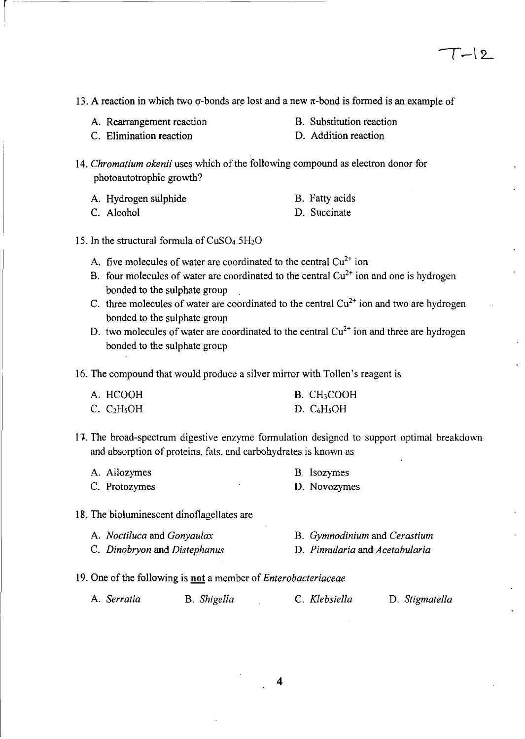- 13. A reaction in which two  $\sigma$ -bonds are lost and a new  $\pi$ -bond is formed is an example of
	- A. Rearrangement reaction
- B. Substitution reaction

C. Elimination reaction

D. Addition reaction

*14. Chromatium okenii* uses which of the following compound as electron donor for photoautotrophic growth?

A. Hydrogen sulphide

C. Alcohol

B. Fatty acids

- D. Succinate
- 15. In the structural formula of  $CuSO<sub>4</sub>.5H<sub>2</sub>O$ 
	- A. five molecules of water are coordinated to the central  $Cu^{2+}$  ion
	- B. four molecules of water are coordinated to the central  $Cu<sup>2+</sup>$  ion and one is hydrogen bonded to the sulphate group
	- C. three molecules of water are coordinated to the central  $Cu<sup>2+</sup>$  ion and two are hydrogen bonded to the sulphate group
	- D. two molecules of water are coordinated to the central  $Cu^{2+}$  ion and three are hydrogen bonded to the sulphate group

16. The compound that would produce a silver mirror with Tollen's reagent is

| A. HCOOH                            | B. CH <sub>3</sub> COOH |
|-------------------------------------|-------------------------|
| C. C <sub>2</sub> H <sub>5</sub> OH | D. $C_6H_5OH$           |

17-. The broad-spectrum digestive enzyme formulation designed to support optimal breakdown and absorption of proteins, fats, and carbohydrates is known as

| A. Allozymes  |  | <b>B.</b> Isozymes |
|---------------|--|--------------------|
| C. Protozymes |  | D. Novozymes       |

### 18. The bioluminescent dinoflagellates are

- A. *Noctiluca* and *Gonyaulax*  B. *Gymnodinium* and *Cerastium*  D. *Pinnularia* and *Acetabularia*
- C. *Dinobryon* and *Distephanus*
- 19. One of the following is **not** a member of *Enterobacteriaceae*

| A. <i>Serratia</i> | B. Shigella | C. Klebsiella | D. Stigmatella |
|--------------------|-------------|---------------|----------------|
|--------------------|-------------|---------------|----------------|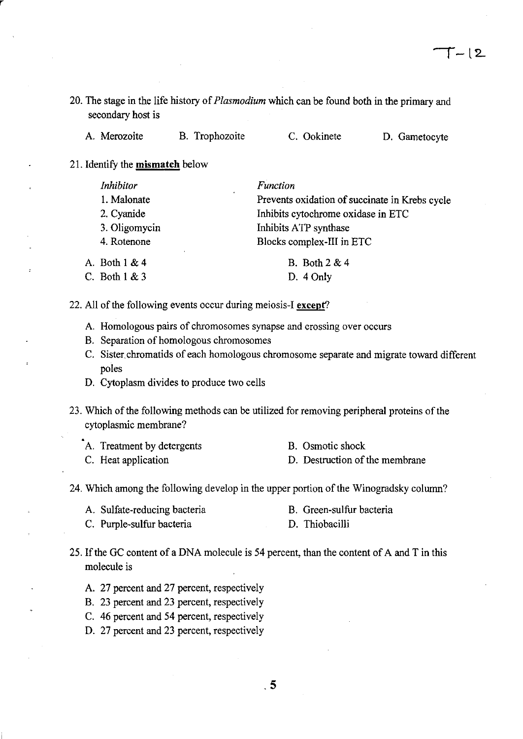20. The stage in the life history of *Plasmodium* which can be found both in the primary and secondary host is

| A. Merozoite | B. Trophozoite | C. Ookinete | D. Gametocyte |
|--------------|----------------|-------------|---------------|
|--------------|----------------|-------------|---------------|

21. Identify the mismatch below

C. Both I & 3

r

| Inhibitor       | <b>Function</b>                                              |
|-----------------|--------------------------------------------------------------|
| 1. Malonate     | $\epsilon$<br>Prevents oxidation of succinate in Krebs cycle |
| 2. Cyanide      | Inhibits cytochrome oxidase in ETC                           |
| 3. Oligomycin   | Inhibits ATP synthase                                        |
| 4. Rotenone     | Blocks complex-III in ETC                                    |
| A. Both $1 & 4$ | <b>B.</b> Both 2 & 4                                         |

D. 4 Only

- 
- 22. All of the following events occur during meiosis-I except?
	- A. Homologous pairs of chromosomes synapse and crossing over occurs
	- B. Separation of homologous chromosomes
	- C. Sister. chromatids of each homologous chromosome separate and migrate toward different poles
	- D. Cytoplasm divides to produce two cells
- 23. Which of the following methods can be utilized for removing peripheral proteins of the cytoplasmic membrane?
	- A. Treatment by detergents

B. Osmotic shock

C. Heat application

- D. Destruction of the membrane
- 24. Which among the following develop in the upper portion of the Winogradsky column?
	- A. Sulfate-reducing bacteria B. Green-sulfur bacteria
	- C. Purple-sulfur bacteria D. Thiobacilli
- 25. If the GC content of a DNA molecule is 54 percent, than the content of A and T in this molecule is
	- A. 27 percent and 27 percent, respectively
	- B. 23 percent and 23 percent, respectively
	- C. 46 percent and 54 percent, respectively
	- D. 27 percent and 23 percent, respectively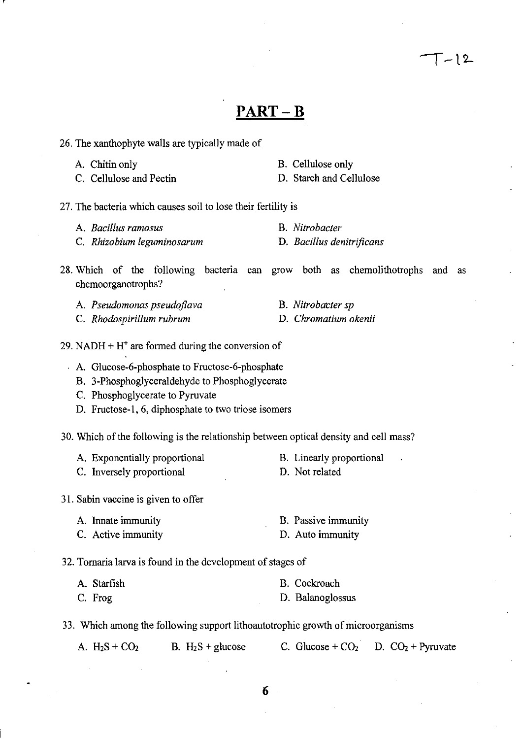### **PART-B**

- 26. The xanthophyte walls are typically made of
	- A. Chitin only
	- C. Cellulose and Pectin
- 27. The bacteria which causes soil to lose their fertility is
	- A. *Bacillus ramosus* B. *Nitrobacter*
	- C. *Rhizobium leguminosarum* D. *Bacillus denitrificans*
- 28. Which of the following bacteria can grow both as chemolithotrophs and as chemoorganotrophs?
	- A. *Pseudomonas pseudojlava*  C. *Rhodospirillum rubrum*
- 29. NADH +  $H<sup>+</sup>$  are formed during the conversion of
	- A. Glucose-6-phosphate to Fructose-6-phosphate
		- B. 3-Phosphoglyceraldehyde to Phosphoglycerate
		- C. Phosphoglycerate to Pyruvate
		- D. Fructose-I, 6, diphosphate to two triose isomers
- 30. Which of the following is the relationship between optical density and cell mass?
	- A. Exponentially proportional B. Linearly proportional
	- C. Inversely proportional
	-
- D. Not related
- 31. Sabin vaccine is given to offer
	- A. Innate immunity C. Active immunity B. Passive immunity D. Auto immunity

32. Tornaria larva is found in the development of stages of

| A. Starfish | B. Cockroach     |
|-------------|------------------|
| C. Frog     | D. Balanoglossus |

33. Which among the following support lithoautotrophic growth of microorganisms

|  | A. $H_2S + CO_2$ |  | B. $H_2S$ + glucose |  | C. Glucose + $CO2$ D. $CO2$ + Pyruvate |  |  |
|--|------------------|--|---------------------|--|----------------------------------------|--|--|
|--|------------------|--|---------------------|--|----------------------------------------|--|--|

D. Starch and Cellulose

 $\lceil - \rceil$ 2

B. Cellulose only

- 
- **B.** Nitrobacter sp
	- D. *Chromatium okenii*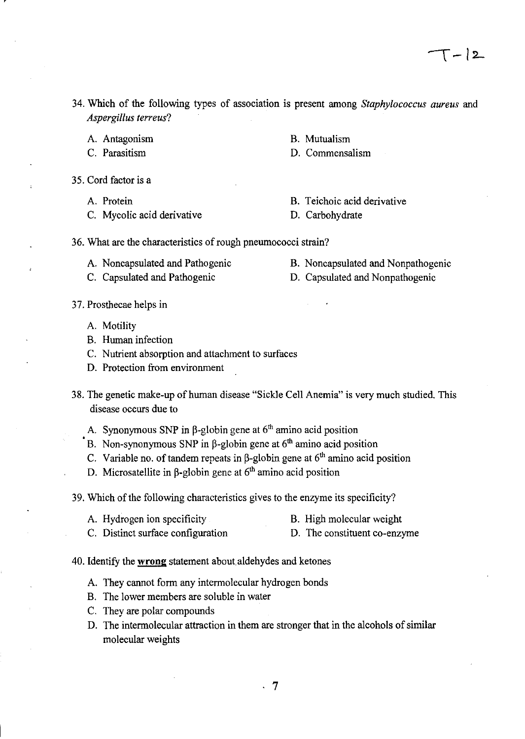- 34. Which of the following types of association is present among *Staphylococcus aureus* and *Aspergillus terreus?* 
	- A. Antagonism
	- C. Parasitism
- 35. Cord factor is a
	- A. Protein
	- C. Mycolic acid derivative
- B. Teichoic acid derivative
- D. Carbohydrate
- 36. What are the characteristics of rough pneumococci strain?
	- A. Noncapsulated and Pathogenic
- B. Noncapsulated and Nonpathogenic
- C. Capsulated and Pathogenic D. Capsulated and Nonpathogenic
- 37. Prosthecae helps in
	- A. Motility
	- B. Human infection
	- C. Nutrient absorption and attachment to surfaces
	- D. Protection from environment
- 38. The genetic make-up of human disease "Sickle Cell Anemia" is very much studied. This disease occurs due to
	- A. Synonymous SNP in  $\beta$ -globin gene at 6<sup>th</sup> amino acid position
	- B. Non-synonymous SNP in  $\beta$ -globin gene at 6<sup>th</sup> amino acid position
	- C. Variable no. of tandem repeats in  $\beta$ -globin gene at  $6<sup>th</sup>$  amino acid position
	- D. Microsatellite in  $\beta$ -globin gene at  $6<sup>th</sup>$  amino acid position
- 39. Which of the following characteristics gives to the enzyme its specificity?
	- A. Hydrogen ion specificity B. High molecular weight
	- C. Distinct surface configuration D. The constituent co-enzyme
- 40. Identify the **wrong** statement about. aldehydes and ketones
	- A. They cannot form any intermolecular hydrogen bonds
	- B. The lower members are soluble in water
	- C. They are polar compounds
	- D. The intermolecular attraction in them are stronger that in the alcohols of similar molecular weights
- B. Mutualism D. Commensalism
- -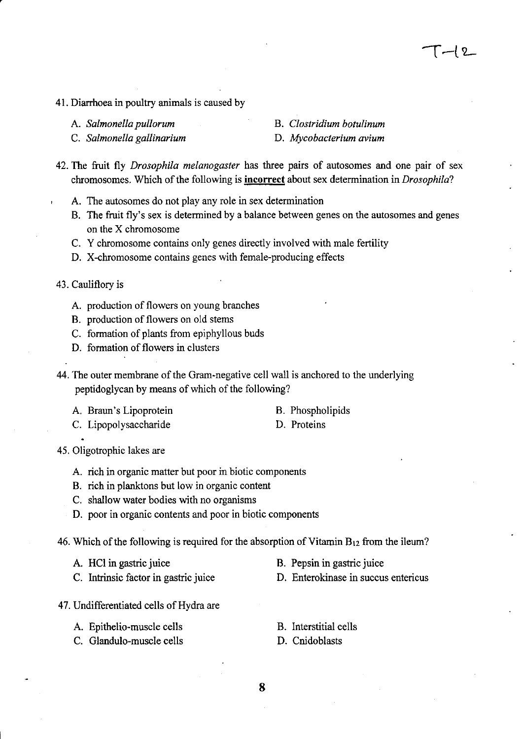- 41. Diarrhoea in poultry animals is caused by
	- A. *Salmonella pullorum*

B. *Clostridium botulinum* 

C. *Salmonella gallinarium* 

- D. *Mycobacterium avium*
- 42. The fruit fly *Drosophila melanogaster* has three pairs of autosomes and one pair of sex chromosomes. Which of the following is **incorrect** about sex determination in *Drosophila?* 
	- A. The autosomes do not play any role in sex determination
	- B. The fruit fly's sex is determined by a balance between genes on the autosomes and genes on the X chromosome
	- C. Y chromosome contains only genes directly involved with male fertility
	- D. X-chromosome contains genes with female-producing effects
- 43. Cauliflory is
	- A. production of flowers on young branches
	- B. production of flowers on old stems
	- C. formation of plants from epiphyllous buds
	- D. formation of flowers in clusters
- 44. The outer membrane of the Gram-negative cell wall is anchored to the underlying peptidoglycan by means of which of the following?
	- A. Braun's Lipoprotein

B. Phospholipids D. Proteins

- C. Lipopolysaccharide
- 45. Oligotrophic lakes are
	- A. rich in organic matter but poor in biotic components
	- B. rich in planktons but low in organic content
	- C. shallow water bodies with no organisms
	- D. poor in organic contents and poor in biotic components
- 46. Which of the following is required for the absorption of Vitamin  $B_{12}$  from the ileum?
	- A. HCl in gastric juice
	- C. Intrinsic factor in gastric juice
- 47. Undifferentiated cells of Hydra are
	- A. Epithelio-muscle cells
	- C. Glandulo-muscle cells
- B. Pepsin in gastric juice
- D. Enterokinase in succus entericus
- B. Interstitial cells
- D. Cnidoblasts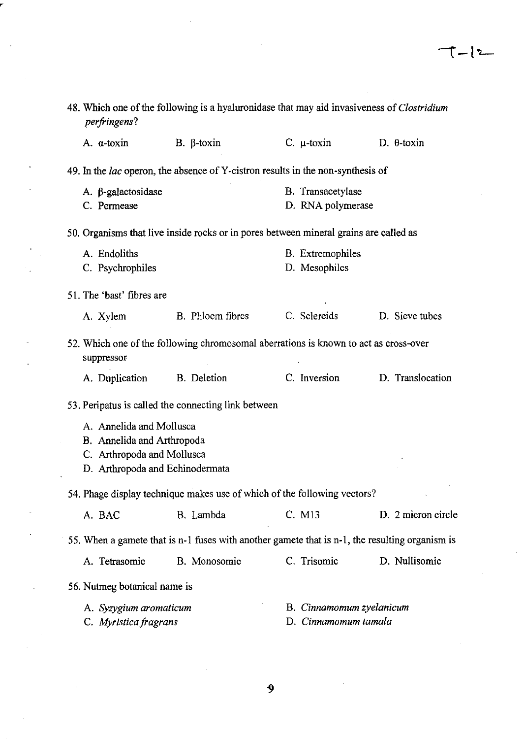$\mathcal{A}^{\mathcal{A}}$ 

 $\sim 10$ 

 $\label{eq:2.1} \frac{1}{\sqrt{2}}\int_{0}^{\infty}\frac{1}{\sqrt{2\pi}}\left(\frac{1}{\sqrt{2\pi}}\right)^{2}d\mu\,d\mu\,.$ 

| A. a-toxin                      | $B. \beta$ -toxin                                                                              | $C. \mu$ -toxin         | $D.$ $\theta$ -toxin                                            |
|---------------------------------|------------------------------------------------------------------------------------------------|-------------------------|-----------------------------------------------------------------|
|                                 | 49. In the <i>lac</i> operon, the absence of Y-cistron results in the non-synthesis of         |                         |                                                                 |
| A. β-galactosidase              |                                                                                                | B. Transacetylase       |                                                                 |
| C. Permease                     |                                                                                                | D. RNA polymerase       |                                                                 |
|                                 | 50. Organisms that live inside rocks or in pores between mineral grains are called as          |                         |                                                                 |
| A. Endoliths                    |                                                                                                | <b>B.</b> Extremophiles |                                                                 |
| C. Psychrophiles                |                                                                                                | D. Mesophiles           |                                                                 |
| 51. The 'bast' fibres are       |                                                                                                |                         |                                                                 |
| A. Xylem                        | B. Phloem fibres                                                                               | C. Sclereids            | D. Sieve tubes                                                  |
| suppressor                      | 52. Which one of the following chromosomal aberrations is known to act as cross-over           |                         |                                                                 |
| A. Duplication                  | B. Deletion                                                                                    | C. Inversion            | D. Translocation                                                |
|                                 | 53. Peripatus is called the connecting link between                                            |                         |                                                                 |
| A. Annelida and Mollusca        |                                                                                                |                         |                                                                 |
| B. Annelida and Arthropoda      |                                                                                                |                         |                                                                 |
|                                 |                                                                                                |                         |                                                                 |
| C. Arthropoda and Mollusca      |                                                                                                |                         |                                                                 |
| D. Arthropoda and Echinodermata |                                                                                                |                         |                                                                 |
|                                 | 54. Phage display technique makes use of which of the following vectors?                       |                         |                                                                 |
| A. BAC                          | B. Lambda                                                                                      | C. M13                  |                                                                 |
|                                 | 55. When a gamete that is n-1 fuses with another gamete that is n-1, the resulting organism is |                         |                                                                 |
| A. Tetrasomic                   | B. Monosomic                                                                                   | C. Trisomic             |                                                                 |
| 56. Nutmeg botanical name is    |                                                                                                |                         |                                                                 |
| A. Syzygium aromaticum          |                                                                                                |                         | D. 2 micron circle<br>D. Nullisomic<br>B. Cinnamomum zyelanicum |

 $\overline{\phantom{a}}$ 

 $\mathcal{L}_{\text{max}}$  and  $\mathcal{L}_{\text{max}}$ 

 $\overline{9}$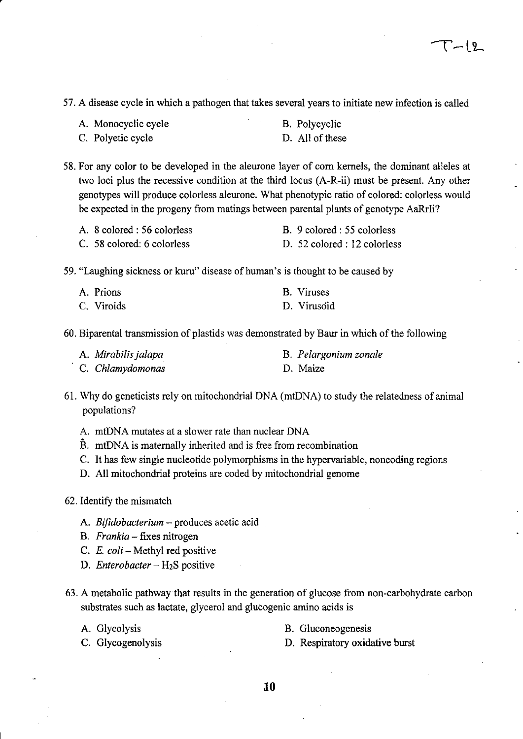57. A disease cycle in which a pathogen that takes several years to initiate new infection is called

| A. Monocyclic cycle |  |
|---------------------|--|
|                     |  |

B. Polycyclic D. All of these

C. Polyetic cycle

58. For any color to be developed in the aleurone layer of corn kernels, the dominant alleles at two loci plus the recessive condition at the third locus (A-R-ii) must be present. Any other genotypes will produce colorless aleurone. What phenotypic ratio of colored: colorless would be expected in the progeny from matings between parental plants of genotype AaRrIi?

| A. 8 colored : 56 colorless | B. 9 colored : 55 colorless  |
|-----------------------------|------------------------------|
| C. 58 colored: 6 colorless  | D. 52 colored : 12 colorless |

59. "Laughing sickness or kuru" disease of human's is thought to be caused by

| A. Prions  | B. Viruses  |
|------------|-------------|
| C. Viroids | D. Virusoid |

60. Biparental transmission of plastids was demonstrated by Baur in which of the following

| A. Mirabilis jalapa | B. Pelargonium zonale |
|---------------------|-----------------------|
| C. Chlamydomonas    | D. Maize              |

- 61. Why do geneticists rely on mitochondrial DNA (mtDNA) to study the relatedness of animal populations?
	- A. mtDNA mutates at a slower rate than nuclear DNA
	- B. mtDNA is maternally inherited and is free from recombination
	- C. It has few single nucleotide polymorphisms in the hypervariable, noncoding regions
	- D. All mitochondrial proteins are coded by mitochondrial genome
- 62. Identify the mismatch
	- A. *Bifidobacterium* produces acetic acid
	- B. *Frankia*  fixes nitrogen
	- C. *E. coli*  Methyl red positive
	- D. *Enterobacter* H<sub>2</sub>S positive
- 63. A metabolic pathway that results in the generation of glucose from non-carbohydrate carbon substrates such as lactate, glycerol and glucogenic amino acids is
	-
	- A. Glycolysis B. Gluconeogenesis
	-
	- C. Glycogenolysis D. Respiratory oxidative burst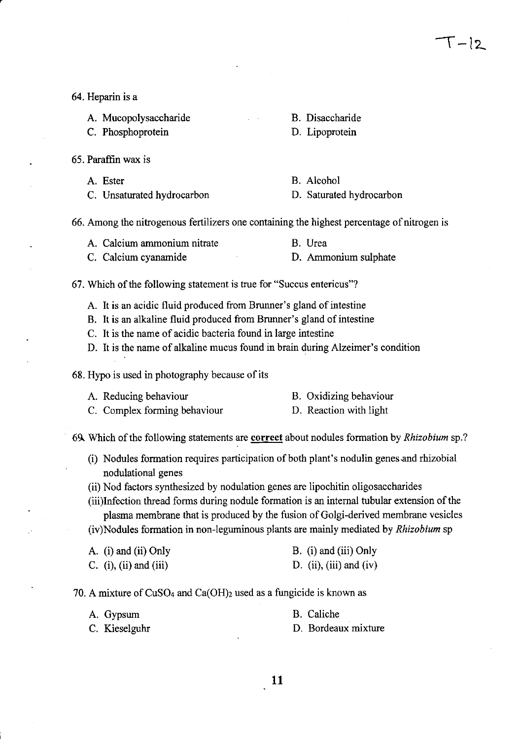$\top$  -12.

- 64. Heparin is a
	- A. Mucopolysaccharide
	- C. Phosphoprotein
- 65. Paraffin wax is
	- A. Ester
	- C. Unsaturated hydrocarbon
- B. Disaccharide
- D. Lipoprotein
- B. Alcohol D. Saturated hydrocarbon
- 
- 66. Among the nitrogenous fertilizers one containing the highest percentage of nitrogen is
	- A. Calcium ammonium nitrate C. Calcium cyanamide B. Urea D. Ammonium sulphate
- 67. Which of the following statement is true for "Succus entericus"?
	- A. It is an acidic fluid produced from Brunner's gland of intestine
	- B. It is an alkaline fluid produced from Brunner's gland of intestine
	- C. It is the name of acidic bacteria found in large intestine
	- D. It is the name of alkaline mucus found in brain during Alzeimer's condition
- 68. Hypo is used in photography because of its
	- A. Reducing behaviour C. Complex forming behaviour B. Oxidizing behaviour D. Reaction with light

6~ Which of the following statements are correct about nodules formation by *Rhizobium* sp.?

- (i) Nodules formation requires participation of both plant's nodulin genes.and rhizobial nodulational genes
- (ii) Nod factors synthesized by nodulation genes are lipochitin oligosaccharides
- (iii)Infection thread forms during nodule formation is an internal tubular extension of the plasma membrane that is produced by the fusion of Golgi-derived membrane vesicles (iv)Nodules formation in non-leguminous plants are mainly mediated by *Rhizobium* sp

| A. (i) and (ii) Only          | B. (i) and (iii) Only   |
|-------------------------------|-------------------------|
| C. $(i)$ , $(ii)$ and $(iii)$ | D. (ii), (iii) and (iv) |

70. A mixture of  $CuSO<sub>4</sub>$  and  $Ca(OH)<sub>2</sub>$  used as a fungicide is known as

| A. Gypsum     | B. Caliche          |
|---------------|---------------------|
| C. Kieselguhr | D. Bordeaux mixture |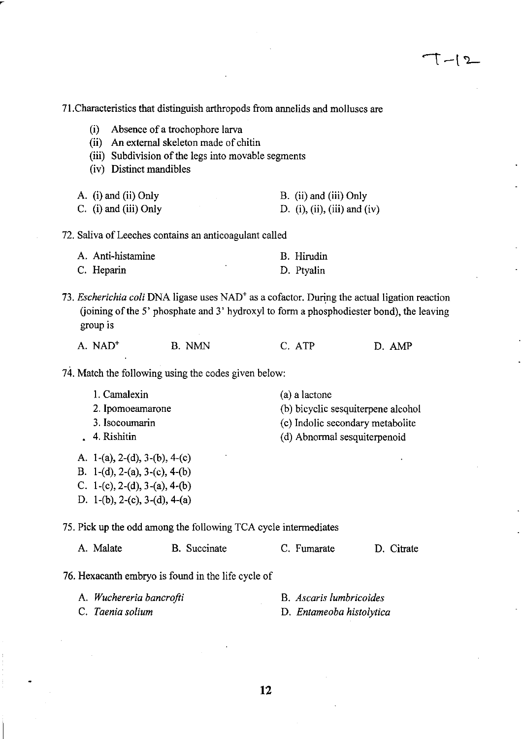$T-12$ 

|                                                                                                                                     | 71. Characteristics that distinguish arthropods from annelids and molluscs are                                                                                                                       |                                                                                                                         |            |
|-------------------------------------------------------------------------------------------------------------------------------------|------------------------------------------------------------------------------------------------------------------------------------------------------------------------------------------------------|-------------------------------------------------------------------------------------------------------------------------|------------|
| (i)<br>(ii)<br>(iii)<br>(iv) Distinct mandibles                                                                                     | Absence of a trochophore larva<br>An external skeleton made of chitin<br>Subdivision of the legs into movable segments                                                                               |                                                                                                                         |            |
| A. (i) and (ii) Only<br>$C.$ (i) and (iii) Only                                                                                     |                                                                                                                                                                                                      | B. (ii) and (iii) Only<br>D. (i), (ii), (iii) and (iv)                                                                  |            |
|                                                                                                                                     | 72. Saliva of Leeches contains an anticoagulant called                                                                                                                                               |                                                                                                                         |            |
| A. Anti-histamine<br>C. Heparin                                                                                                     |                                                                                                                                                                                                      | B. Hirudin<br>D. Ptyalin                                                                                                |            |
| group is                                                                                                                            | 73. Escherichia coli DNA ligase uses NAD <sup>+</sup> as a cofactor. During the actual ligation reaction<br>(joining of the 5' phosphate and 3' hydroxyl to form a phosphodiester bond), the leaving |                                                                                                                         |            |
| A. NAD <sup>+</sup>                                                                                                                 | <b>B.</b> NMN                                                                                                                                                                                        | C. ATP                                                                                                                  | D. AMP     |
|                                                                                                                                     | 74. Match the following using the codes given below:                                                                                                                                                 |                                                                                                                         |            |
| 1. Camalexin<br>2. Ipomoeamarone<br>3. Isocoumarin<br>4. Rishitin<br>A. 1-(a), 2-(d), 3-(b), 4-(c)<br>B. 1-(d), 2-(a), 3-(c), 4-(b) |                                                                                                                                                                                                      | (a) a lactone<br>(b) bicyclic sesquiterpene alcohol<br>(c) Indolic secondary metabolite<br>(d) Abnormal sesquiterpenoid |            |
| C. 1-(c), 2-(d), 3-(a), 4-(b)<br>D. 1-(b), 2-(c), 3-(d), 4-(a)                                                                      |                                                                                                                                                                                                      |                                                                                                                         |            |
|                                                                                                                                     | 75. Pick up the odd among the following TCA cycle intermediates                                                                                                                                      |                                                                                                                         |            |
| A. Malate                                                                                                                           | B. Succinate                                                                                                                                                                                         | C. Fumarate                                                                                                             | D. Citrate |
|                                                                                                                                     | 76. Hexacanth embryo is found in the life cycle of                                                                                                                                                   |                                                                                                                         |            |
| A. Wuchereria bancrofti<br>C. Taenia solium                                                                                         |                                                                                                                                                                                                      | B. Ascaris lumbricoides<br>D. Entameoba histolytica                                                                     |            |
|                                                                                                                                     |                                                                                                                                                                                                      |                                                                                                                         |            |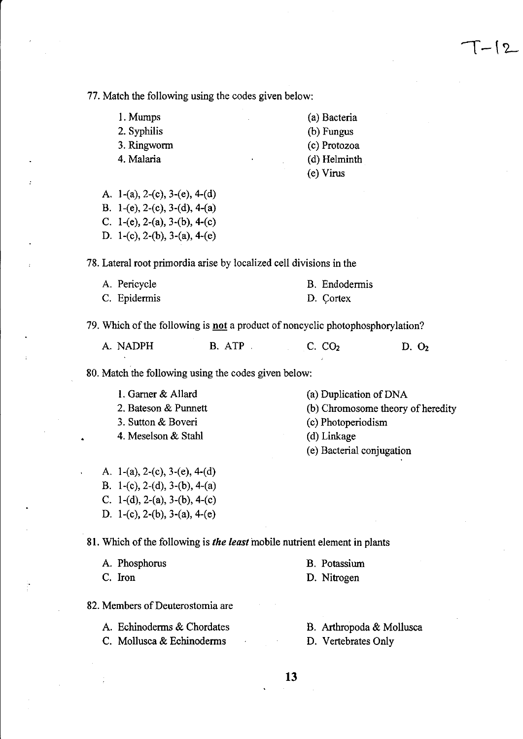77. Match the following using the codes given below:

I. Mumps

2. Syphilis

- 3. Ringworm
- 4. Malaria

(a) Bacteria (b) Fungus

 $\lceil - \rceil$  2

- (c) Protozoa
- (d) Helminth
- (e) Virus

A. 1-(a), 2-(c), 3-(e), 4-(d) B. 1-(e), 2-(c), 3-(d), 4-(a) C. 1-(e), 2-(a), 3-(b), 4-(c) D. 1-(c), 2-(b), 3-(a), 4-(e)

78. Lateral root primordia arise by localized cell divisions in the

| A. Pericycle | B. Endodermis |
|--------------|---------------|
| C. Epidermis | D. Cortex     |

79. Which of the following is not a product of noncyclic photophosphorylation?

| A. NADPH<br>B. ATP | C. CO <sub>2</sub> | D. O <sub>2</sub> |
|--------------------|--------------------|-------------------|
|--------------------|--------------------|-------------------|

80. Match the following using the codes given below:

- I. Gamer & Allard 2. Bateson & Punnett 3. Sutton & Boveri 4. Meselson & Stahl (a) Duplication of DNA (b) Chromosome theory of heredity (c) Photoperiodism (d) Linkage (e) Bacterial conjugation
- A. 1-(a), 2-(c), 3-(e), 4-(d) B. 1-(c), 2-(d), 3-(b), 4-(a) C.  $1-(d)$ ,  $2-(a)$ ,  $3-(b)$ ,  $4-(c)$ D. 1-(c), 2-(b), 3-(a), 4-(e)

81. Which of the following is *the least* mobile nutrient element in plants

| A. Phosphorus | B. Potassium |
|---------------|--------------|
| C. Iron       | D. Nitrogen  |

82. Members of Deuterostomia are

- A. Echinoderms & Chordates C. Mollusca & Echinoderms
- B. Arthropoda & Mollusca

D. Vertebrates Only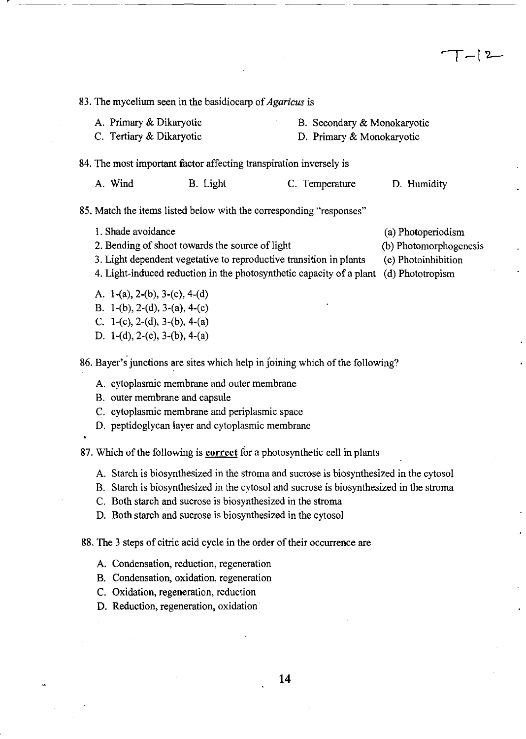83. The mycelium seen in the basidiocarp of *Agaricus* is

A. Primary & Dikaryotic B. Secondary & Monokaryotic

C. Tertiary & Dikaryotic

---\_ .. --------

# D. Primary & Monokaryotic

84. The most important factor affecting transpiration inversely is

A. Wind B. Light C. Temperature D. Humidity

#### 85. Match the items listed below with the corresponding "responses"

I. Shade avoidance

2. Bending of shoot towards the source of light

- 3. Light dependent vegetative to reproductive transition in plants
- 4. Light-induced reduction in the photosynthetic capacity of a plant (d) Phototropism
- A. l-(a), 2-(b), 3-(c), 4-(d)
- B. l-(b), 2-(d), 3-(a), 4-(c)
- C. 1-(c), 2-(d), 3-(b), 4-(a)
- D. l-(d), 2-(c), 3-(b), 4-(a)

86. Bayer's junctions are sites which help in Joining which of the following?

- A. cytoplasmic membrane and outer membrane
- B. outer membrane and capsule
- C. cytoplasmic membrane and periplasmic space
- D. peptidoglycan layer and cytoplasmic membrane

87. Which of the following is correct for a photosynthetic cell in plants

- A. Starch is biosynthesized in the stroma and sucrose is biosynthesized in the cytosol
- B. Starch is biosynthesized in the cytosol and sucrose is biosynthesized in the stroma
- C. Both starch and sucrose is biosynthesized in the stroma
- D. Both starch and sucrose is biosynthesized in the cytosol

88. The 3 steps of citric acid cycle in the order of their occurrence are

- A. Condensation, reduction, regeneration
- B. Condensation, oxidation, regeneration
- C. Oxidation, regeneration, reduction
- D. Reduction, regeneration, oxidation

(a) Photoperiodism

- (b) Photomorphogenesis
- (c) Photoinhibition
-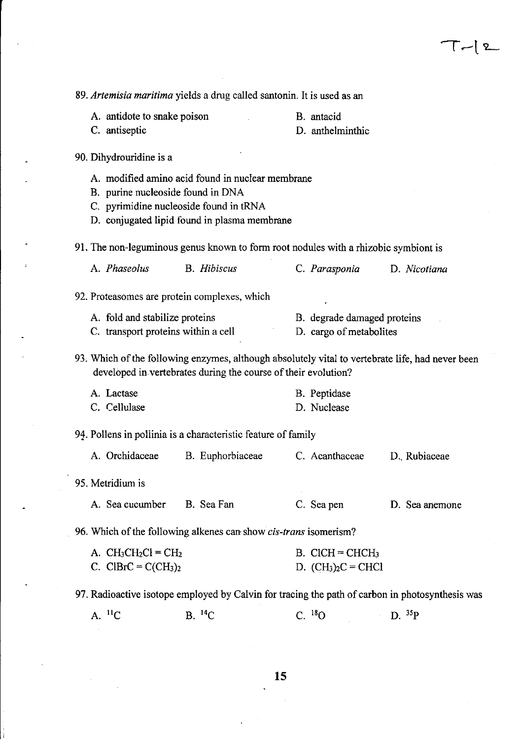| 89. Artemisia maritima yields a drug called santonin. It is used as an                                                                                                          |                                                                |  |                               |                |  |  |  |
|---------------------------------------------------------------------------------------------------------------------------------------------------------------------------------|----------------------------------------------------------------|--|-------------------------------|----------------|--|--|--|
| A. antidote to snake poison                                                                                                                                                     |                                                                |  | B. antacid                    |                |  |  |  |
| C. antiseptic                                                                                                                                                                   |                                                                |  | D. anthelminthic              |                |  |  |  |
| 90. Dihydrouridine is a                                                                                                                                                         |                                                                |  |                               |                |  |  |  |
| A. modified amino acid found in nuclear membrane<br>B. purine nucleoside found in DNA<br>C. pyrimidine nucleoside found in tRNA<br>D. conjugated lipid found in plasma membrane |                                                                |  |                               |                |  |  |  |
| 91. The non-leguminous genus known to form root nodules with a rhizobic symbiont is                                                                                             |                                                                |  |                               |                |  |  |  |
| A. Phaseolus                                                                                                                                                                    | <b>B.</b> Hibiscus                                             |  | C. Parasponia                 | D. Nicotiana   |  |  |  |
| 92. Proteasomes are protein complexes, which                                                                                                                                    |                                                                |  |                               |                |  |  |  |
| A. fold and stabilize proteins                                                                                                                                                  |                                                                |  | B. degrade damaged proteins   |                |  |  |  |
| C. transport proteins within a cell                                                                                                                                             |                                                                |  | D. cargo of metabolites       |                |  |  |  |
| 93. Which of the following enzymes, although absolutely vital to vertebrate life, had never been                                                                                | developed in vertebrates during the course of their evolution? |  |                               |                |  |  |  |
| A. Lactase                                                                                                                                                                      |                                                                |  | B. Peptidase                  |                |  |  |  |
| C. Cellulase                                                                                                                                                                    |                                                                |  | D. Nuclease                   |                |  |  |  |
| 94. Pollens in pollinia is a characteristic feature of family                                                                                                                   |                                                                |  |                               |                |  |  |  |
| A. Orchidaceae                                                                                                                                                                  | B. Euphorbiaceae                                               |  | C. Acanthaceae                | D. Rubiaceae   |  |  |  |
| 95. Metridium is                                                                                                                                                                |                                                                |  |                               |                |  |  |  |
| A. Sea cucumber B. Sea Fan                                                                                                                                                      |                                                                |  | C. Sea pen                    | D. Sea anemone |  |  |  |
| 96. Which of the following alkenes can show <i>cis-trans</i> isomerism?                                                                                                         |                                                                |  |                               |                |  |  |  |
| A. $CH_3CH_2Cl = CH_2$                                                                                                                                                          |                                                                |  | $B.$ CICH = CHCH <sub>3</sub> |                |  |  |  |
| C. ClBrC = $C(CH_3)_2$                                                                                                                                                          |                                                                |  | D. $(CH_3)_2C = CHCl$         |                |  |  |  |
| 97. Radioactive isotope employed by Calvin for tracing the path of carbon in photosynthesis was                                                                                 |                                                                |  |                               |                |  |  |  |
| $A.$ <sup>11</sup> C                                                                                                                                                            | $B.$ <sup>14</sup> C                                           |  | $C.$ <sup>18</sup> O          | D. $35P$       |  |  |  |
|                                                                                                                                                                                 |                                                                |  |                               |                |  |  |  |

 $\frac{1}{2}$ 

 $\mathcal{L}_{\mathcal{A}}$ 

 $\overline{\phantom{a}}$ 

 $T-12$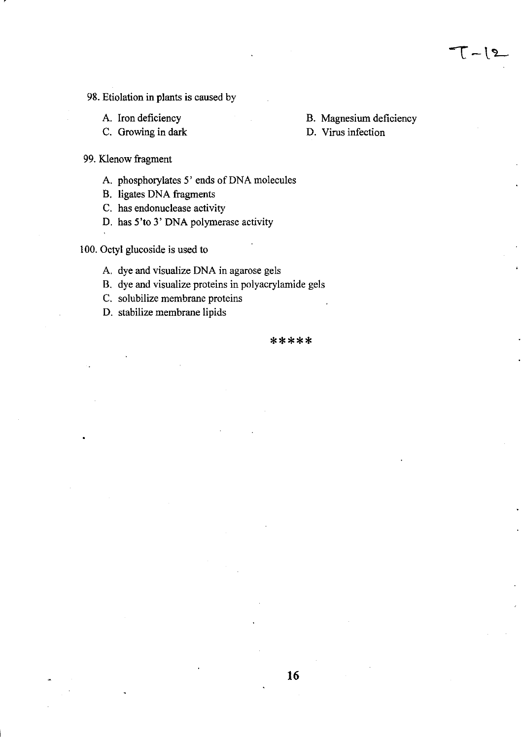### 98. Etiolation in plants is caused by

- A. Iron deficiency
- C. Growing in dark
- B. Magnesium deficiency
- D. Virus infection

- 99. Klenow fragment
	- A. phosphorylates 5' ends of DNA molecules
	- B. ligates DNA fragments
	- C. has endonuclease activity
	- D. has 5'to 3' DNA polymerase activity

100. Octyl glucoside is used to

- A. dye and visualize DNA in agarose gels
- B. dye and visualize proteins in polyacrylamide gels
- C. solubilize membrane proteins
- D. stabilize membrane lipids

#### \*\*\*\*\*